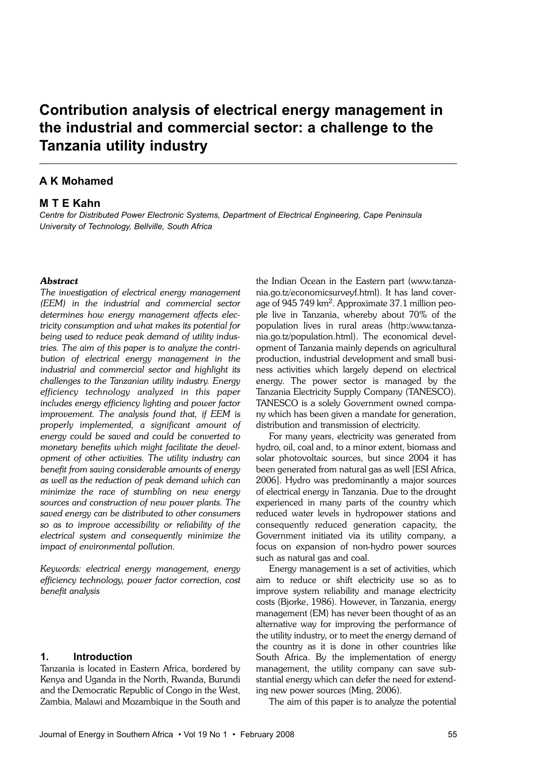# Contribution analysis of electrical energy management in the industrial and commercial sector: a challenge to the Tanzania utility industry

# A K Mohamed

# M T E Kahn

Centre for Distributed Power Electronic Systems, Department of Electrical Engineering, Cape Peninsula University of Technology, Bellville, South Africa

#### **Abstract**

The investigation of electrical energy management (EEM) in the industrial and commercial sector determines how energy management affects electricity consumption and what makes its potential for being used to reduce peak demand of utility industries. The aim of this paper is to analyze the contribution of electrical energy management in the industrial and commercial sector and highlight its challenges to the Tanzanian utility industry. Energy efficiency technology analyzed in this paper includes energy efficiency lighting and power factor improvement. The analysis found that, if EEM is properly implemented, a significant amount of energy could be saved and could be converted to monetary benefits which might facilitate the development of other activities. The utility industry can benefit from saving considerable amounts of energy as well as the reduction of peak demand which can minimize the race of stumbling on new energy sources and construction of new power plants. The saved energy can be distributed to other consumers so as to improve accessibility or reliability of the electrical system and consequently minimize the impact of environmental pollution.

Keywords: electrical energy management, energy efficiency technology, power factor correction, cost benefit analysis

#### 1. Introduction

Tanzania is located in Eastern Africa, bordered by Kenya and Uganda in the North, Rwanda, Burundi and the Democratic Republic of Congo in the West, Zambia, Malawi and Mozambique in the South and the Indian Ocean in the Eastern part (www.tanzania.go.tz/economicsurveyf.html). It has land coverage of 945 749 km<sup>2</sup> . Approximate 37.1 million people live in Tanzania, whereby about 70% of the population lives in rural areas (http:/www.tanzania.go.tz/population.html). The economical development of Tanzania mainly depends on agricultural production, industrial development and small business activities which largely depend on electrical energy. The power sector is managed by the Tanzania Electricity Supply Company (TANESCO). TANESCO is a solely Government owned company which has been given a mandate for generation, distribution and transmission of electricity.

For many years, electricity was generated from hydro, oil, coal and, to a minor extent, biomass and solar photovoltaic sources, but since 2004 it has been generated from natural gas as well [ESI Africa, 2006]. Hydro was predominantly a major sources of electrical energy in Tanzania. Due to the drought experienced in many parts of the country which reduced water levels in hydropower stations and consequently reduced generation capacity, the Government initiated via its utility company, a focus on expansion of non-hydro power sources such as natural gas and coal.

Energy management is a set of activities, which aim to reduce or shift electricity use so as to improve system reliability and manage electricity costs (Bjorke, 1986). However, in Tanzania, energy management (EM) has never been thought of as an alternative way for improving the performance of the utility industry, or to meet the energy demand of the country as it is done in other countries like South Africa. By the implementation of energy management, the utility company can save substantial energy which can defer the need for extending new power sources (Ming, 2006).

The aim of this paper is to analyze the potential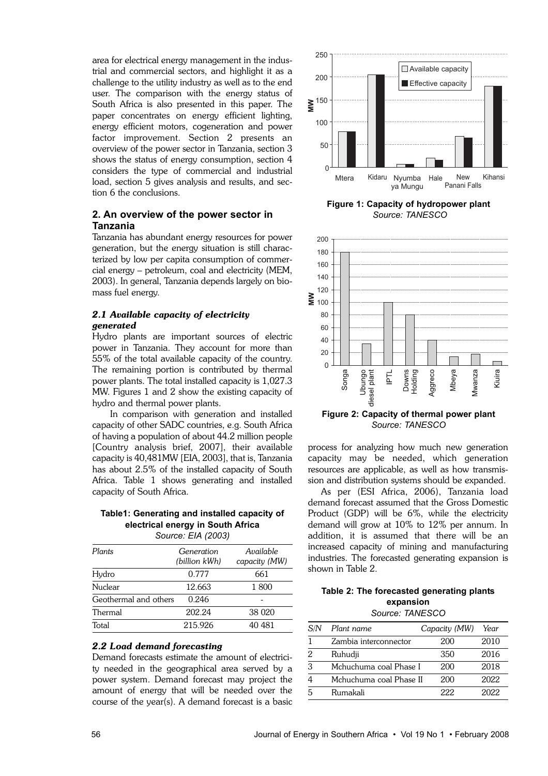area for electrical energy management in the industrial and commercial sectors, and highlight it as a challenge to the utility industry as well as to the end user. The comparison with the energy status of South Africa is also presented in this paper. The paper concentrates on energy efficient lighting, energy efficient motors, cogeneration and power factor improvement. Section 2 presents an overview of the power sector in Tanzania, section 3 shows the status of energy consumption, section 4 considers the type of commercial and industrial load, section 5 gives analysis and results, and section 6 the conclusions.

# 2. An overview of the power sector in Tanzania

Tanzania has abundant energy resources for power generation, but the energy situation is still characterized by low per capita consumption of commercial energy – petroleum, coal and electricity (MEM, 2003). In general, Tanzania depends largely on biomass fuel energy.

# 2.1 Available capacity of electricity generated

Hydro plants are important sources of electric power in Tanzania. They account for more than 55% of the total available capacity of the country. The remaining portion is contributed by thermal power plants. The total installed capacity is 1,027.3 MW. Figures 1 and 2 show the existing capacity of hydro and thermal power plants.

In comparison with generation and installed capacity of other SADC countries, e.g. South Africa of having a population of about 44.2 million people [Country analysis brief, 2007], their available capacity is 40,481MW [EIA, 2003], that is, Tanzania has about 2.5% of the installed capacity of South Africa. Table 1 shows generating and installed capacity of South Africa.

Table1: Generating and installed capacity of electrical energy in South Africa Source: EIA (2003)

| Plants                | Generation<br>(billion kWh) | Available<br>capacity (MW) |  |
|-----------------------|-----------------------------|----------------------------|--|
| Hydro                 | 0.777                       | 661                        |  |
| Nuclear               | 12.663                      | 1800                       |  |
| Geothermal and others | 0.246                       |                            |  |
| Thermal               | 202.24                      | 38 0 20                    |  |
| Total                 | 215.926                     | 40 481                     |  |

## 2.2 Load demand forecasting

Demand forecasts estimate the amount of electricity needed in the geographical area served by a power system. Demand forecast may project the amount of energy that will be needed over the course of the year(s). A demand forecast is a basic



Figure 1: Capacity of hydropower plant Source: TANESCO



Source: TANESCO

process for analyzing how much new generation capacity may be needed, which generation resources are applicable, as well as how transmission and distribution systems should be expanded.

As per (ESI Africa, 2006), Tanzania load demand forecast assumed that the Gross Domestic Product (GDP) will be 6%, while the electricity demand will grow at 10% to 12% per annum. In addition, it is assumed that there will be an increased capacity of mining and manufacturing industries. The forecasted generating expansion is shown in Table 2.

# Table 2: The forecasted generating plants expansion

Source: TANESCO

| S/N | Plant name              | Capacity (MW) | Year |
|-----|-------------------------|---------------|------|
|     | Zambia interconnector   | 200           | 2010 |
| 2   | Ruhudji                 | 350           | 2016 |
| 3   | Mchuchuma coal Phase I  | 200           | 2018 |
|     | Mchuchuma coal Phase II | 200           | 2022 |
|     | Rumakali                | 222           | 2022 |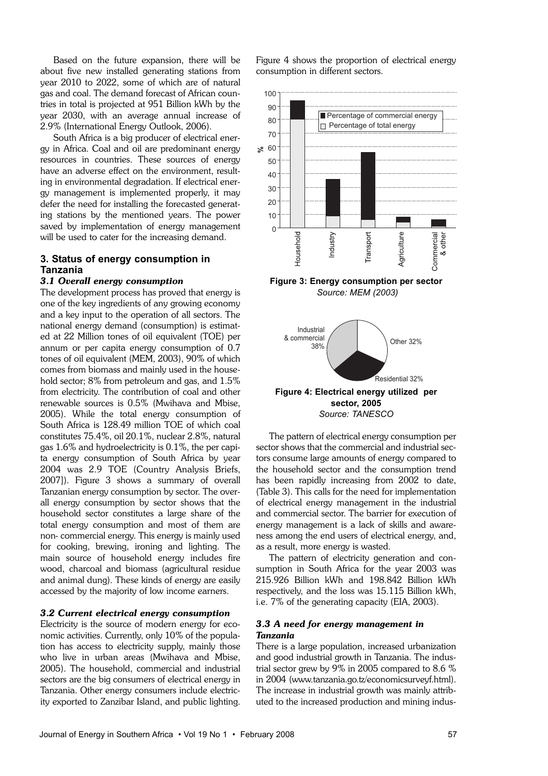Based on the future expansion, there will be about five new installed generating stations from year 2010 to 2022, some of which are of natural gas and coal. The demand forecast of African countries in total is projected at 951 Billion kWh by the year 2030, with an average annual increase of 2.9% (International Energy Outlook, 2006).

South Africa is a big producer of electrical energy in Africa. Coal and oil are predominant energy resources in countries. These sources of energy have an adverse effect on the environment, resulting in environmental degradation. If electrical energy management is implemented properly, it may defer the need for installing the forecasted generating stations by the mentioned years. The power saved by implementation of energy management will be used to cater for the increasing demand.

# 3. Status of energy consumption in Tanzania

## 3.1 Overall energy consumption

The development process has proved that energy is one of the key ingredients of any growing economy and a key input to the operation of all sectors. The national energy demand (consumption) is estimated at 22 Million tones of oil equivalent (TOE) per annum or per capita energy consumption of 0.7 tones of oil equivalent (MEM, 2003), 90% of which comes from biomass and mainly used in the household sector; 8% from petroleum and gas, and 1.5% from electricity. The contribution of coal and other renewable sources is 0.5% (Mwihava and Mbise, 2005). While the total energy consumption of South Africa is 128.49 million TOE of which coal constitutes 75.4%, oil 20.1%, nuclear 2.8%, natural gas 1.6% and hydroelectricity is 0.1%, the per capita energy consumption of South Africa by year 2004 was 2.9 TOE (Country Analysis Briefs, 2007]). Figure 3 shows a summary of overall Tanzanian energy consumption by sector. The overall energy consumption by sector shows that the household sector constitutes a large share of the total energy consumption and most of them are non- commercial energy. This energy is mainly used for cooking, brewing, ironing and lighting. The main source of household energy includes fire wood, charcoal and biomass (agricultural residue and animal dung). These kinds of energy are easily accessed by the majority of low income earners.

## 3.2 Current electrical energy consumption

Electricity is the source of modern energy for economic activities. Currently, only 10% of the population has access to electricity supply, mainly those who live in urban areas (Mwihava and Mbise, 2005). The household, commercial and industrial sectors are the big consumers of electrical energy in Tanzania. Other energy consumers include electricity exported to Zanzibar Island, and public lighting. Figure 4 shows the proportion of electrical energy consumption in different sectors.



Figure 4: Electrical energy utilized per sector, 2005 Source: TANESCO

The pattern of electrical energy consumption per sector shows that the commercial and industrial sectors consume large amounts of energy compared to the household sector and the consumption trend has been rapidly increasing from 2002 to date, (Table 3). This calls for the need for implementation of electrical energy management in the industrial and commercial sector. The barrier for execution of energy management is a lack of skills and awareness among the end users of electrical energy, and, as a result, more energy is wasted.

The pattern of electricity generation and consumption in South Africa for the year 2003 was 215.926 Billion kWh and 198.842 Billion kWh respectively, and the loss was 15.115 Billion kWh, i.e. 7% of the generating capacity (EIA, 2003).

# 3.3 A need for energy management in Tanzania

There is a large population, increased urbanization and good industrial growth in Tanzania. The industrial sector grew by 9% in 2005 compared to 8.6 % in 2004 (www.tanzania.go.tz/economicsurveyf.html). The increase in industrial growth was mainly attributed to the increased production and mining indus-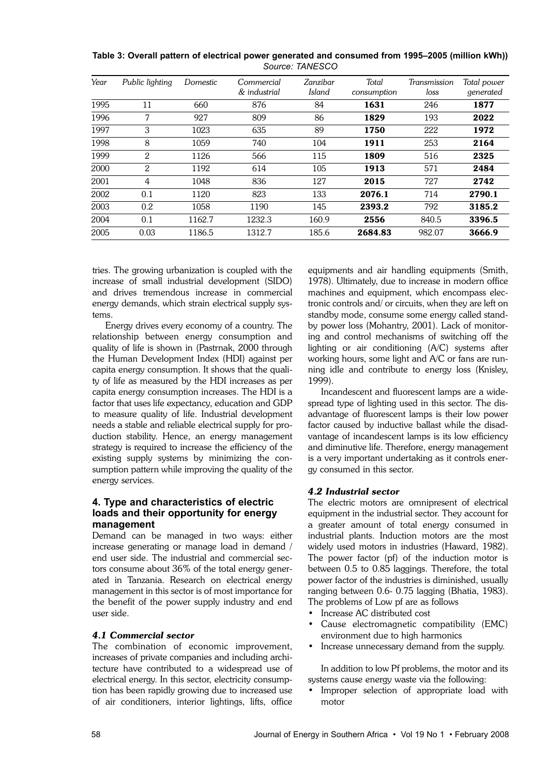| Year | Public lighting | Domestic | Commercial<br>& industrial | Zanzibar<br>Island | Total<br>consumption | Transmission<br>loss | Total power<br>generated |
|------|-----------------|----------|----------------------------|--------------------|----------------------|----------------------|--------------------------|
| 1995 | 11              | 660      | 876                        | 84                 | 1631                 | 246                  | 1877                     |
| 1996 | 7               | 927      | 809                        | 86                 | 1829                 | 193                  | 2022                     |
| 1997 | 3               | 1023     | 635                        | 89                 | 1750                 | 222                  | 1972                     |
| 1998 | 8               | 1059     | 740                        | 104                | 1911                 | 253                  | 2164                     |
| 1999 | 2               | 1126     | 566                        | 115                | 1809                 | 516                  | 2325                     |
| 2000 | 2               | 1192     | 614                        | 105                | 1913                 | 571                  | 2484                     |
| 2001 | 4               | 1048     | 836                        | 127                | 2015                 | 727                  | 2742                     |
| 2002 | 0.1             | 1120     | 823                        | 133                | 2076.1               | 714                  | 2790.1                   |
| 2003 | 0.2             | 1058     | 1190                       | 145                | 2393.2               | 792                  | 3185.2                   |
| 2004 | 0.1             | 1162.7   | 1232.3                     | 160.9              | 2556                 | 840.5                | 3396.5                   |
| 2005 | 0.03            | 1186.5   | 1312.7                     | 185.6              | 2684.83              | 982.07               | 3666.9                   |

Table 3: Overall pattern of electrical power generated and consumed from 1995–2005 (million kWh)) Source: TANESCO

tries. The growing urbanization is coupled with the increase of small industrial development (SIDO) and drives tremendous increase in commercial energy demands, which strain electrical supply systems.

Energy drives every economy of a country. The relationship between energy consumption and quality of life is shown in (Pastrnak, 2000 through the Human Development Index (HDI) against per capita energy consumption. It shows that the quality of life as measured by the HDI increases as per capita energy consumption increases. The HDI is a factor that uses life expectancy, education and GDP to measure quality of life. Industrial development needs a stable and reliable electrical supply for production stability. Hence, an energy management strategy is required to increase the efficiency of the existing supply systems by minimizing the consumption pattern while improving the quality of the energy services.

# 4. Type and characteristics of electric loads and their opportunity for energy management

Demand can be managed in two ways: either increase generating or manage load in demand / end user side. The industrial and commercial sectors consume about 36% of the total energy generated in Tanzania. Research on electrical energy management in this sector is of most importance for the benefit of the power supply industry and end user side.

# 4.1 Commercial sector

The combination of economic improvement, increases of private companies and including architecture have contributed to a widespread use of electrical energy. In this sector, electricity consumption has been rapidly growing due to increased use of air conditioners, interior lightings, lifts, office

equipments and air handling equipments (Smith, 1978). Ultimately, due to increase in modern office machines and equipment, which encompass electronic controls and/ or circuits, when they are left on standby mode, consume some energy called standby power loss (Mohantry, 2001). Lack of monitoring and control mechanisms of switching off the lighting or air conditioning (A/C) systems after working hours, some light and A/C or fans are running idle and contribute to energy loss (Knisley, 1999).

Incandescent and fluorescent lamps are a widespread type of lighting used in this sector. The disadvantage of fluorescent lamps is their low power factor caused by inductive ballast while the disadvantage of incandescent lamps is its low efficiency and diminutive life. Therefore, energy management is a very important undertaking as it controls energy consumed in this sector.

## 4.2 Industrial sector

The electric motors are omnipresent of electrical equipment in the industrial sector. They account for a greater amount of total energy consumed in industrial plants. Induction motors are the most widely used motors in industries (Haward, 1982). The power factor (pf) of the induction motor is between 0.5 to 0.85 laggings. Therefore, the total power factor of the industries is diminished, usually ranging between 0.6- 0.75 lagging (Bhatia, 1983). The problems of Low pf are as follows

- Increase AC distributed cost
- Cause electromagnetic compatibility (EMC) environment due to high harmonics
- Increase unnecessary demand from the supply.

In addition to low Pf problems, the motor and its systems cause energy waste via the following:

• Improper selection of appropriate load with motor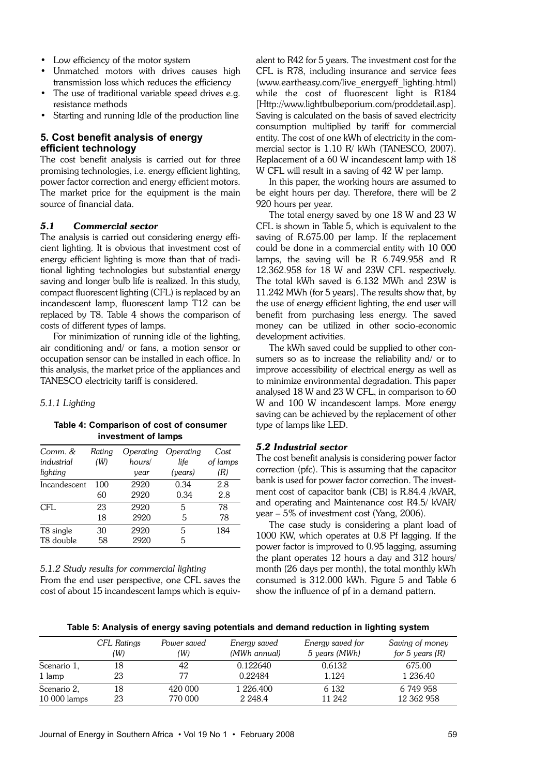- Low efficiency of the motor system
- Unmatched motors with drives causes high transmission loss which reduces the efficiency
- The use of traditional variable speed drives e.g. resistance methods
- Starting and running Idle of the production line

# 5. Cost benefit analysis of energy efficient technology

The cost benefit analysis is carried out for three promising technologies, i.e. energy efficient lighting, power factor correction and energy efficient motors. The market price for the equipment is the main source of financial data.

# 5.1 Commercial sector

The analysis is carried out considering energy efficient lighting. It is obvious that investment cost of energy efficient lighting is more than that of traditional lighting technologies but substantial energy saving and longer bulb life is realized. In this study, compact fluorescent lighting (CFL) is replaced by an incandescent lamp, fluorescent lamp T12 can be replaced by T8. Table 4 shows the comparison of costs of different types of lamps.

For minimization of running idle of the lighting, air conditioning and/ or fans, a motion sensor or occupation sensor can be installed in each office. In this analysis, the market price of the appliances and TANESCO electricity tariff is considered.

#### 5.1.1 Lighting

Table 4: Comparison of cost of consumer investment of lamps

| Comm. &<br>industrial | Rating<br>(W) | Operating<br>hours/ | Operating<br>life | Cost<br>of lamps |
|-----------------------|---------------|---------------------|-------------------|------------------|
| lighting              |               | vear                | (years)           | (R)              |
| Incandescent          | 100           | 2920                | 0.34              | 2.8              |
|                       | 60            | 2920                | 0.34              | 2.8              |
| CFL                   | 23            | 2920                | 5                 | 78               |
|                       | 18            | 2920                | 5                 | 78               |
| T8 single             | 30            | 2920                | 5                 | 184              |
| T8 double             | 58            | 2920                | 5                 |                  |

#### 5.1.2 Study results for commercial lighting

```
From the end user perspective, one CFL saves the
cost of about 15 incandescent lamps which is equiv-
```
alent to R42 for 5 years. The investment cost for the CFL is R78, including insurance and service fees (www.eartheasy.com/live\_energyeff\_lighting.html) while the cost of fluorescent light is R184 [Http://www.lightbulbeporium.com/proddetail.asp]. Saving is calculated on the basis of saved electricity consumption multiplied by tariff for commercial entity. The cost of one kWh of electricity in the commercial sector is 1.10 R/ kWh (TANESCO, 2007). Replacement of a 60 W incandescent lamp with 18 W CFL will result in a saving of 42 W per lamp.

In this paper, the working hours are assumed to be eight hours per day. Therefore, there will be 2 920 hours per year.

The total energy saved by one 18 W and 23 W CFL is shown in Table 5, which is equivalent to the saving of R.675.00 per lamp. If the replacement could be done in a commercial entity with 10 000 lamps, the saving will be R 6.749.958 and R 12.362.958 for 18 W and 23W CFL respectively. The total kWh saved is 6.132 MWh and 23W is 11.242 MWh (for 5 years). The results show that, by the use of energy efficient lighting, the end user will benefit from purchasing less energy. The saved money can be utilized in other socio-economic development activities.

The kWh saved could be supplied to other consumers so as to increase the reliability and/ or to improve accessibility of electrical energy as well as to minimize environmental degradation. This paper analysed 18 W and 23 W CFL, in comparison to 60 W and 100 W incandescent lamps. More energy saving can be achieved by the replacement of other type of lamps like LED.

## 5.2 Industrial sector

The cost benefit analysis is considering power factor correction (pfc). This is assuming that the capacitor bank is used for power factor correction. The investment cost of capacitor bank (CB) is R.84.4 /kVAR, and operating and Maintenance cost R4.5/ kVAR/ year – 5% of investment cost (Yang, 2006).

The case study is considering a plant load of 1000 KW, which operates at 0.8 Pf lagging. If the power factor is improved to 0.95 lagging, assuming the plant operates 12 hours a day and 312 hours/ month (26 days per month), the total monthly kWh consumed is 312.000 kWh. Figure 5 and Table 6 show the influence of pf in a demand pattern.

Table 5: Analysis of energy saving potentials and demand reduction in lighting system

|               | CFL Ratings | Power saved | Energy saved | Energy saved for | Saving of money   |
|---------------|-------------|-------------|--------------|------------------|-------------------|
|               | (W)         | (W)         | (MWh annual) | 5 years (MWh)    | for 5 years $(R)$ |
| Scenario 1,   | 18          | 42          | 0.122640     | 0.6132           | 675.00            |
| 1 lamp        | 23          | 77          | 0.22484      | 1.124            | 1 236.40          |
| Scenario 2,   | 18          | 420 000     | 1 226.400    | 6 1 3 2          | 6 749 958         |
| $10000$ lamps | 23          | 770 000     | 2 2 4 8 .4   | 11 242           | 12 362 958        |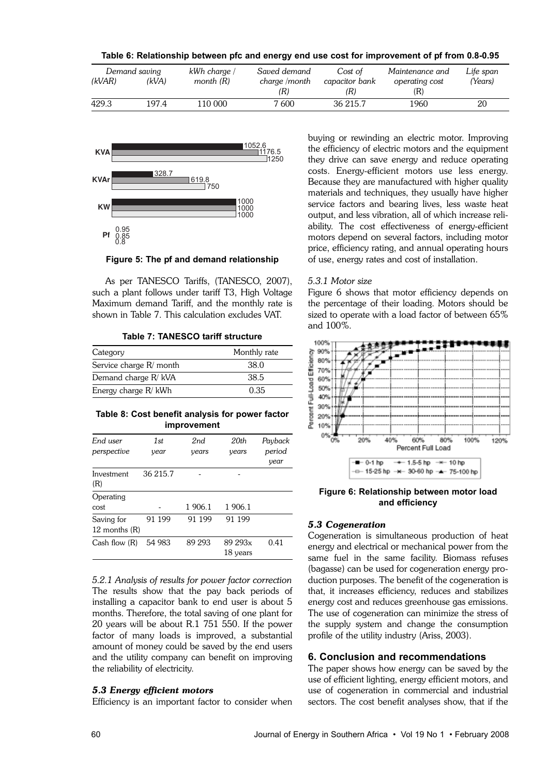| Table 6: Relationship between pfc and energy end use cost for improvement of pf from 0.8-0.95 |  |  |  |
|-----------------------------------------------------------------------------------------------|--|--|--|
|-----------------------------------------------------------------------------------------------|--|--|--|

|        | Demand saving | kWh charge / | Saved demand  | Cost of        | Maintenance and | Life span |
|--------|---------------|--------------|---------------|----------------|-----------------|-----------|
| (kVAR) | (kVA)         | month $(R)$  | charge /month | capacitor bank | operating cost  | 'Years)   |
|        |               |              | (R)           | (R)            | (R)             |           |
| 429.3  | 197.4         | 110 000      | 7 600         | 36 215.7       | 1960            | 20        |



Figure 5: The pf and demand relationship

As per TANESCO Tariffs, (TANESCO, 2007), such a plant follows under tariff T3, High Voltage Maximum demand Tariff, and the monthly rate is shown in Table 7. This calculation excludes VAT.

#### Table 7: TANESCO tariff structure

| Category                | Monthly rate |
|-------------------------|--------------|
| Service charge R/ month | 38.0         |
| Demand charge R/ kVA    | 38.5         |
| Energy charge R/ kWh    | 0.35         |

#### Table 8: Cost benefit analysis for power factor improvement

| End user<br>perspective       | 1st<br>year | 2nd<br>years | 20th<br>years       | Payback<br>period<br>year |
|-------------------------------|-------------|--------------|---------------------|---------------------------|
| Investment<br>(R)             | 36 215.7    |              |                     |                           |
| Operating<br>cost             |             | 1 906.1      | 1 906.1             |                           |
| Saving for<br>12 months $(R)$ | 91 199      | 91 199       | 91 199              |                           |
| Cash flow $(R)$               | 54 983      | 89 293       | 89 293x<br>18 years | 0.41                      |

5.2.1 Analysis of results for power factor correction The results show that the pay back periods of installing a capacitor bank to end user is about 5 months. Therefore, the total saving of one plant for 20 years will be about R.1 751 550. If the power factor of many loads is improved, a substantial amount of money could be saved by the end users and the utility company can benefit on improving the reliability of electricity.

#### 5.3 Energy efficient motors

Efficiency is an important factor to consider when

buying or rewinding an electric motor. Improving the efficiency of electric motors and the equipment they drive can save energy and reduce operating costs. Energy-efficient motors use less energy. Because they are manufactured with higher quality materials and techniques, they usually have higher service factors and bearing lives, less waste heat output, and less vibration, all of which increase reliability. The cost effectiveness of energy-efficient motors depend on several factors, including motor price, efficiency rating, and annual operating hours of use, energy rates and cost of installation.

#### 5.3.1 Motor size

Figure 6 shows that motor efficiency depends on the percentage of their loading. Motors should be sized to operate with a load factor of between 65% and 100%.



Figure 6: Relationship between motor load and efficiency

#### 5.3 Cogeneration

Cogeneration is simultaneous production of heat energy and electrical or mechanical power from the same fuel in the same facility. Biomass refuses (bagasse) can be used for cogeneration energy production purposes. The benefit of the cogeneration is that, it increases efficiency, reduces and stabilizes energy cost and reduces greenhouse gas emissions. The use of cogeneration can minimize the stress of the supply system and change the consumption profile of the utility industry (Ariss, 2003).

#### 6. Conclusion and recommendations

The paper shows how energy can be saved by the use of efficient lighting, energy efficient motors, and use of cogeneration in commercial and industrial sectors. The cost benefit analyses show, that if the